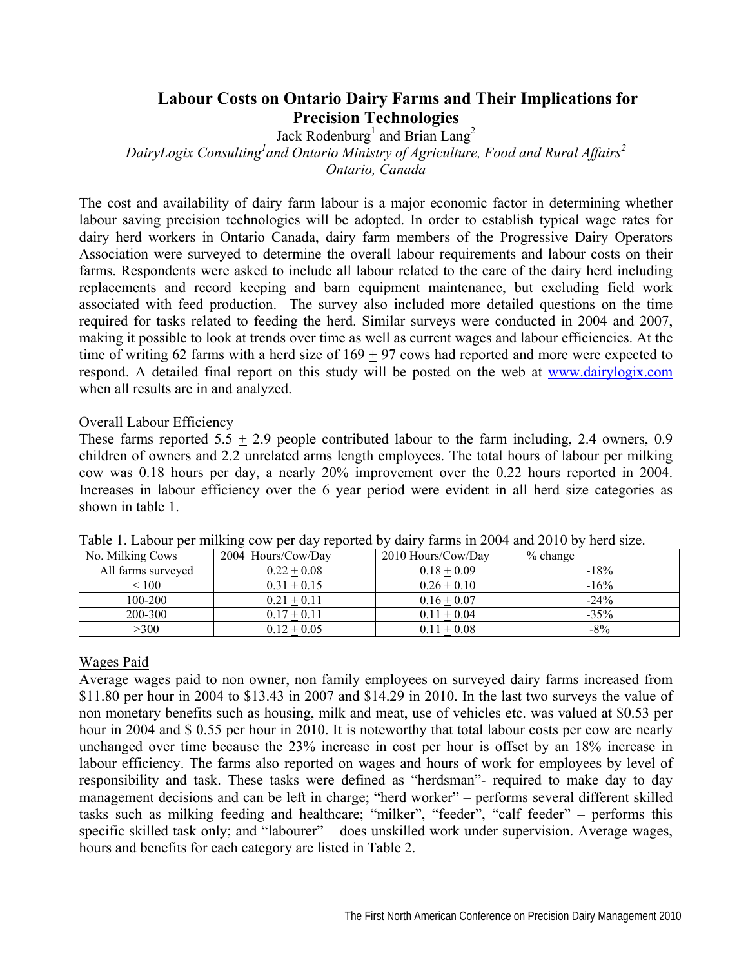# **Labour Costs on Ontario Dairy Farms and Their Implications for Precision Technologies**

Jack Rodenburg<sup>1</sup> and Brian Lang<sup>2</sup>

DairyLogix Consulting<sup>1</sup> and Ontario Ministry of Agriculture, Food and Rural Affairs<sup>2</sup>

*Ontario, Canada* 

The cost and availability of dairy farm labour is a major economic factor in determining whether labour saving precision technologies will be adopted. In order to establish typical wage rates for dairy herd workers in Ontario Canada, dairy farm members of the Progressive Dairy Operators Association were surveyed to determine the overall labour requirements and labour costs on their farms. Respondents were asked to include all labour related to the care of the dairy herd including replacements and record keeping and barn equipment maintenance, but excluding field work associated with feed production. The survey also included more detailed questions on the time required for tasks related to feeding the herd. Similar surveys were conducted in 2004 and 2007, making it possible to look at trends over time as well as current wages and labour efficiencies. At the time of writing 62 farms with a herd size of  $169 + 97$  cows had reported and more were expected to respond. A detailed final report on this study will be posted on the web at www.dairylogix.com when all results are in and analyzed.

#### Overall Labour Efficiency

These farms reported  $5.5 \pm 2.9$  people contributed labour to the farm including, 2.4 owners, 0.9 children of owners and 2.2 unrelated arms length employees. The total hours of labour per milking cow was 0.18 hours per day, a nearly 20% improvement over the 0.22 hours reported in 2004. Increases in labour efficiency over the 6 year period were evident in all herd size categories as shown in table 1.

| No. Milking Cows   | 2004 Hours/Cow/Day | 2010 Hours/Cow/Day | $%$ change |
|--------------------|--------------------|--------------------|------------|
| All farms surveyed | $0.22 + 0.08$      | $0.18 + 0.09$      | $-18%$     |
| $\leq 100$         | $0.31 + 0.15$      | $0.26 + 0.10$      | $-16%$     |
| 100-200            | $0.21 + 0.11$      | $0.16 + 0.07$      | $-24\%$    |
| 200-300            | $0.17 + 0.11$      | $0.11 + 0.04$      | $-35%$     |
| >300               | $0.12 \pm 0.05$    | $0.11 \pm 0.08$    | $-8\%$     |

Table 1. Labour per milking cow per day reported by dairy farms in 2004 and 2010 by herd size.

#### Wages Paid

Average wages paid to non owner, non family employees on surveyed dairy farms increased from \$11.80 per hour in 2004 to \$13.43 in 2007 and \$14.29 in 2010. In the last two surveys the value of non monetary benefits such as housing, milk and meat, use of vehicles etc. was valued at \$0.53 per hour in 2004 and \$ 0.55 per hour in 2010. It is noteworthy that total labour costs per cow are nearly unchanged over time because the 23% increase in cost per hour is offset by an 18% increase in labour efficiency. The farms also reported on wages and hours of work for employees by level of responsibility and task. These tasks were defined as "herdsman"- required to make day to day management decisions and can be left in charge; "herd worker" – performs several different skilled tasks such as milking feeding and healthcare; "milker", "feeder", "calf feeder" – performs this specific skilled task only; and "labourer" – does unskilled work under supervision. Average wages, hours and benefits for each category are listed in Table 2.